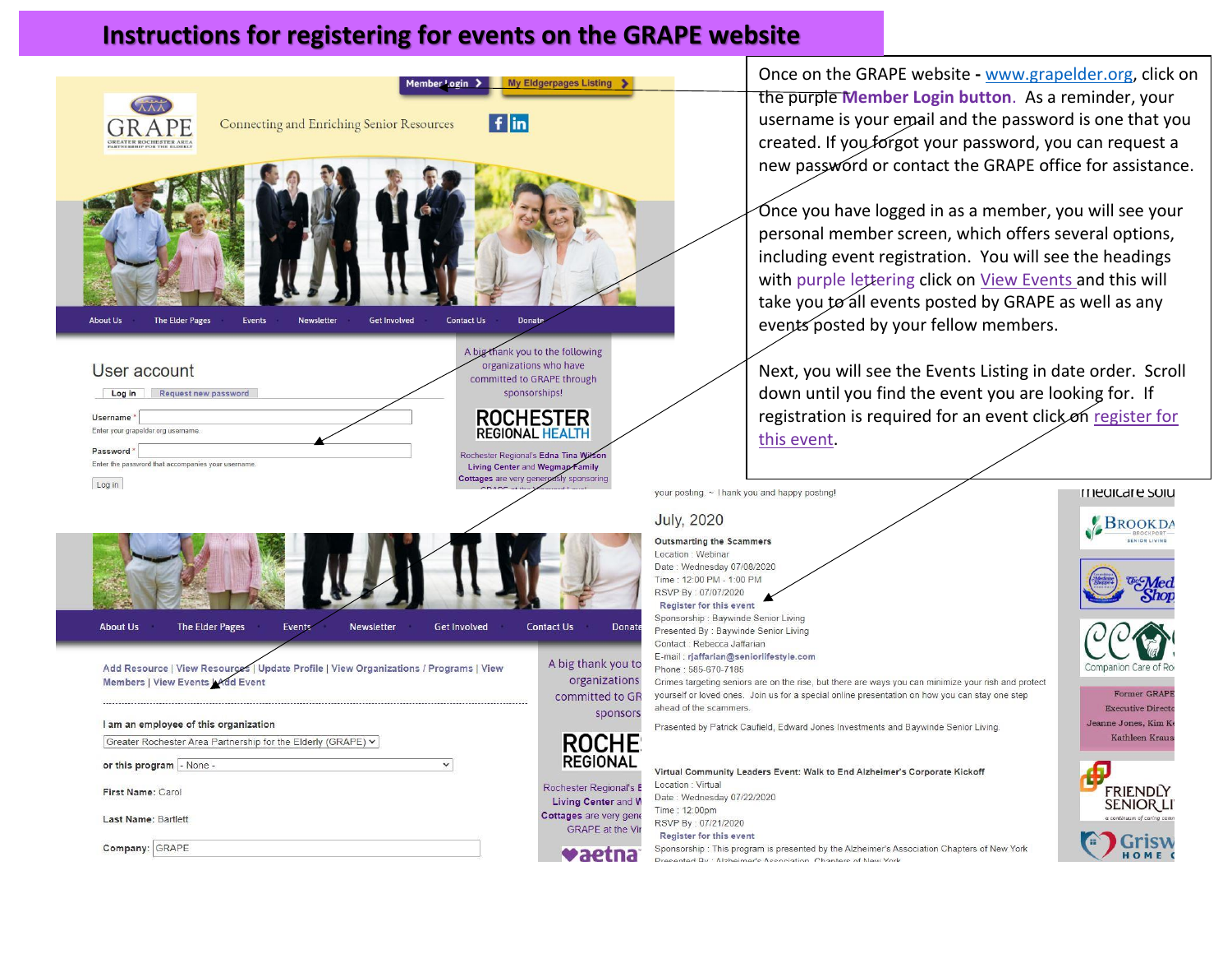## **Instructions for registering for events on the GRAPE website**